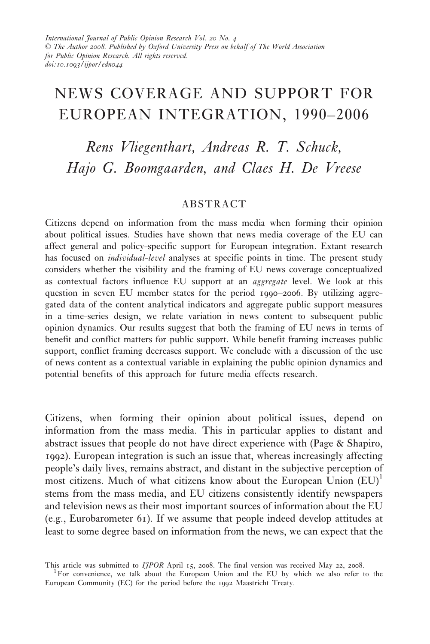# NEWS COVERAGE AND SUPPORT FOR EUROPEAN INTEGRATION, 1990–2006

Rens Vliegenthart, Andreas R. T. Schuck, Hajo G. Boomgaarden, and Claes H. De Vreese

## ABSTRACT

Citizens depend on information from the mass media when forming their opinion about political issues. Studies have shown that news media coverage of the EU can affect general and policy-specific support for European integration. Extant research has focused on *individual-level* analyses at specific points in time. The present study considers whether the visibility and the framing of EU news coverage conceptualized as contextual factors influence EU support at an aggregate level. We look at this question in seven EU member states for the period 1990–2006. By utilizing aggregated data of the content analytical indicators and aggregate public support measures in a time-series design, we relate variation in news content to subsequent public opinion dynamics. Our results suggest that both the framing of EU news in terms of benefit and conflict matters for public support. While benefit framing increases public support, conflict framing decreases support. We conclude with a discussion of the use of news content as a contextual variable in explaining the public opinion dynamics and potential benefits of this approach for future media effects research.

Citizens, when forming their opinion about political issues, depend on information from the mass media. This in particular applies to distant and abstract issues that people do not have direct experience with (Page & Shapiro, 1992). European integration is such an issue that, whereas increasingly affecting people's daily lives, remains abstract, and distant in the subjective perception of most citizens. Much of what citizens know about the European Union  $(EU)^{1}$ stems from the mass media, and EU citizens consistently identify newspapers and television news as their most important sources of information about the EU (e.g., Eurobarometer 61). If we assume that people indeed develop attitudes at least to some degree based on information from the news, we can expect that the

This article was submitted to *IJPOR* April 15, 2008. The final version was received May 22, 2008.<br><sup>1</sup>For convenience, we talk about the European Union and the EU by which we also refer to the

European Community (EC) for the period before the 1992 Maastricht Treaty.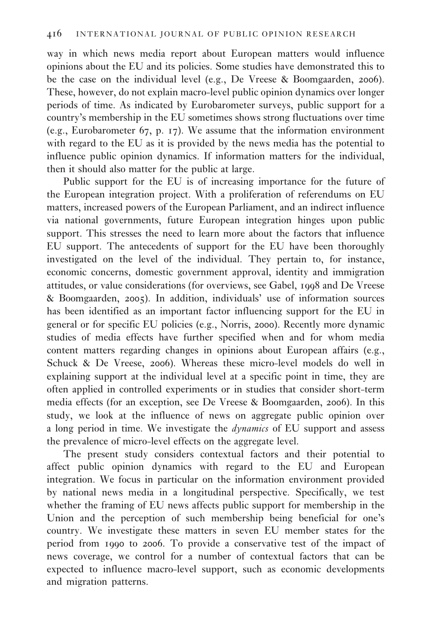way in which news media report about European matters would influence opinions about the EU and its policies. Some studies have demonstrated this to be the case on the individual level (e.g., De Vreese & Boomgaarden, 2006). These, however, do not explain macro-level public opinion dynamics over longer periods of time. As indicated by Eurobarometer surveys, public support for a country's membership in the EU sometimes shows strong fluctuations over time (e.g., Eurobarometer 67, p. 17). We assume that the information environment with regard to the EU as it is provided by the news media has the potential to influence public opinion dynamics. If information matters for the individual, then it should also matter for the public at large.

Public support for the EU is of increasing importance for the future of the European integration project. With a proliferation of referendums on EU matters, increased powers of the European Parliament, and an indirect influence via national governments, future European integration hinges upon public support. This stresses the need to learn more about the factors that influence EU support. The antecedents of support for the EU have been thoroughly investigated on the level of the individual. They pertain to, for instance, economic concerns, domestic government approval, identity and immigration attitudes, or value considerations (for overviews, see Gabel, 1998 and De Vreese & Boomgaarden, 2005). In addition, individuals' use of information sources has been identified as an important factor influencing support for the EU in general or for specific EU policies (e.g., Norris, 2000). Recently more dynamic studies of media effects have further specified when and for whom media content matters regarding changes in opinions about European affairs (e.g., Schuck & De Vreese, 2006). Whereas these micro-level models do well in explaining support at the individual level at a specific point in time, they are often applied in controlled experiments or in studies that consider short-term media effects (for an exception, see De Vreese & Boomgaarden, 2006). In this study, we look at the influence of news on aggregate public opinion over a long period in time. We investigate the  $dynamics$  of EU support and assess the prevalence of micro-level effects on the aggregate level.

The present study considers contextual factors and their potential to affect public opinion dynamics with regard to the EU and European integration. We focus in particular on the information environment provided by national news media in a longitudinal perspective. Specifically, we test whether the framing of EU news affects public support for membership in the Union and the perception of such membership being beneficial for one's country. We investigate these matters in seven EU member states for the period from 1990 to 2006. To provide a conservative test of the impact of news coverage, we control for a number of contextual factors that can be expected to influence macro-level support, such as economic developments and migration patterns.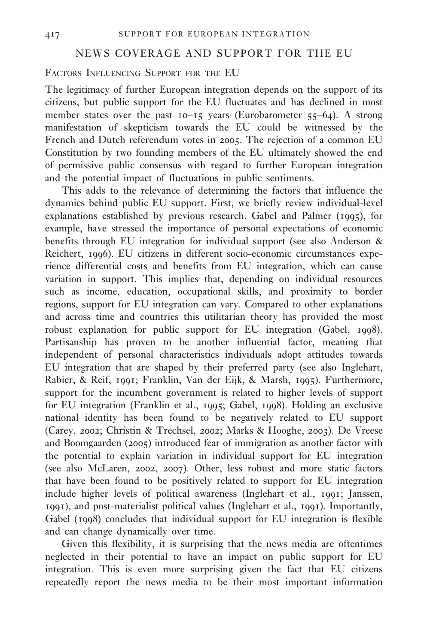# NEWS COVERAGE AND SUPPORT FOR THE EU

#### FACTORS INFLUENCING SUPPORT FOR THE EU

The legitimacy of further European integration depends on the support of its citizens, but public support for the EU fluctuates and has declined in most member states over the past 10–15 years (Eurobarometer 55–64). A strong manifestation of skepticism towards the EU could be witnessed by the French and Dutch referendum votes in 2005. The rejection of a common EU Constitution by two founding members of the EU ultimately showed the end of permissive public consensus with regard to further European integration and the potential impact of fluctuations in public sentiments.

This adds to the relevance of determining the factors that influence the dynamics behind public EU support. First, we briefly review individual-level explanations established by previous research. Gabel and Palmer (1995), for example, have stressed the importance of personal expectations of economic benefits through EU integration for individual support (see also Anderson & Reichert, 1996). EU citizens in different socio-economic circumstances experience differential costs and benefits from EU integration, which can cause variation in support. This implies that, depending on individual resources such as income, education, occupational skills, and proximity to border regions, support for EU integration can vary. Compared to other explanations and across time and countries this utilitarian theory has provided the most robust explanation for public support for EU integration (Gabel, 1998). Partisanship has proven to be another influential factor, meaning that independent of personal characteristics individuals adopt attitudes towards EU integration that are shaped by their preferred party (see also Inglehart, Rabier, & Reif, 1991; Franklin, Van der Eijk, & Marsh, 1995). Furthermore, support for the incumbent government is related to higher levels of support for EU integration (Franklin et al., 1995; Gabel, 1998). Holding an exclusive national identity has been found to be negatively related to EU support (Carey, 2002; Christin & Trechsel, 2002; Marks & Hooghe, 2003). De Vreese and Boomgaarden (2005) introduced fear of immigration as another factor with the potential to explain variation in individual support for EU integration (see also McLaren, 2002, 2007). Other, less robust and more static factors that have been found to be positively related to support for EU integration include higher levels of political awareness (Inglehart et al., 1991; Janssen, 1991), and post-materialist political values (Inglehart et al., 1991). Importantly, Gabel (1998) concludes that individual support for EU integration is flexible and can change dynamically over time.

Given this flexibility, it is surprising that the news media are oftentimes neglected in their potential to have an impact on public support for EU integration. This is even more surprising given the fact that EU citizens repeatedly report the news media to be their most important information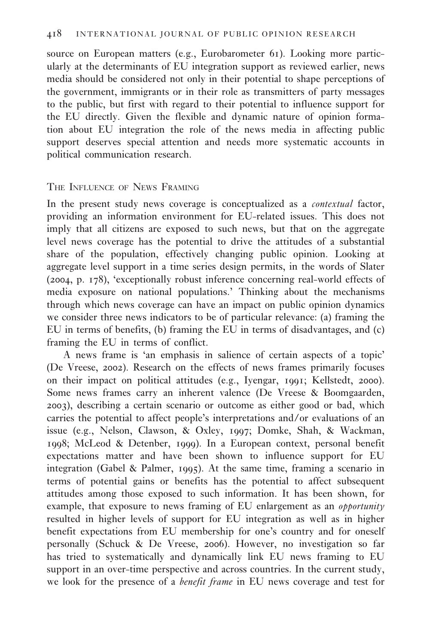source on European matters (e.g., Eurobarometer 61). Looking more particularly at the determinants of EU integration support as reviewed earlier, news media should be considered not only in their potential to shape perceptions of the government, immigrants or in their role as transmitters of party messages to the public, but first with regard to their potential to influence support for the EU directly. Given the flexible and dynamic nature of opinion formation about EU integration the role of the news media in affecting public support deserves special attention and needs more systematic accounts in political communication research.

## THE INFLUENCE OF NEWS FRAMING

In the present study news coverage is conceptualized as a *contextual* factor, providing an information environment for EU-related issues. This does not imply that all citizens are exposed to such news, but that on the aggregate level news coverage has the potential to drive the attitudes of a substantial share of the population, effectively changing public opinion. Looking at aggregate level support in a time series design permits, in the words of Slater (2004, p. 178), 'exceptionally robust inference concerning real-world effects of media exposure on national populations.' Thinking about the mechanisms through which news coverage can have an impact on public opinion dynamics we consider three news indicators to be of particular relevance: (a) framing the EU in terms of benefits, (b) framing the EU in terms of disadvantages, and (c) framing the EU in terms of conflict.

A news frame is 'an emphasis in salience of certain aspects of a topic' (De Vreese, 2002). Research on the effects of news frames primarily focuses on their impact on political attitudes (e.g., Iyengar, 1991; Kellstedt, 2000). Some news frames carry an inherent valence (De Vreese & Boomgaarden, 2003), describing a certain scenario or outcome as either good or bad, which carries the potential to affect people's interpretations and/or evaluations of an issue (e.g., Nelson, Clawson, & Oxley, 1997; Domke, Shah, & Wackman, 1998; McLeod & Detenber, 1999). In a European context, personal benefit expectations matter and have been shown to influence support for EU integration (Gabel & Palmer, 1995). At the same time, framing a scenario in terms of potential gains or benefits has the potential to affect subsequent attitudes among those exposed to such information. It has been shown, for example, that exposure to news framing of EU enlargement as an *opportunity* resulted in higher levels of support for EU integration as well as in higher benefit expectations from EU membership for one's country and for oneself personally (Schuck & De Vreese, 2006). However, no investigation so far has tried to systematically and dynamically link EU news framing to EU support in an over-time perspective and across countries. In the current study, we look for the presence of a benefit frame in EU news coverage and test for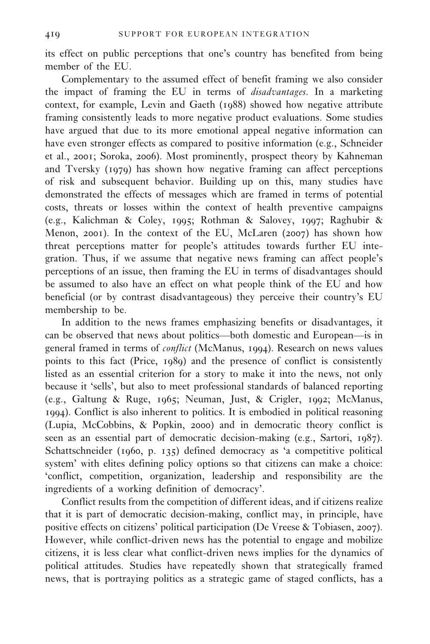its effect on public perceptions that one's country has benefited from being member of the EU.

Complementary to the assumed effect of benefit framing we also consider the impact of framing the EU in terms of disadvantages. In a marketing context, for example, Levin and Gaeth (1988) showed how negative attribute framing consistently leads to more negative product evaluations. Some studies have argued that due to its more emotional appeal negative information can have even stronger effects as compared to positive information (e.g., Schneider et al., 2001; Soroka, 2006). Most prominently, prospect theory by Kahneman and Tversky (1979) has shown how negative framing can affect perceptions of risk and subsequent behavior. Building up on this, many studies have demonstrated the effects of messages which are framed in terms of potential costs, threats or losses within the context of health preventive campaigns (e.g., Kalichman & Coley, 1995; Rothman & Salovey, 1997; Raghubir & Menon, 2001). In the context of the EU, McLaren (2007) has shown how threat perceptions matter for people's attitudes towards further EU integration. Thus, if we assume that negative news framing can affect people's perceptions of an issue, then framing the EU in terms of disadvantages should be assumed to also have an effect on what people think of the EU and how beneficial (or by contrast disadvantageous) they perceive their country's EU membership to be.

In addition to the news frames emphasizing benefits or disadvantages, it can be observed that news about politics—both domestic and European—is in general framed in terms of conflict (McManus, 1994). Research on news values points to this fact (Price, 1989) and the presence of conflict is consistently listed as an essential criterion for a story to make it into the news, not only because it 'sells', but also to meet professional standards of balanced reporting (e.g., Galtung & Ruge, 1965; Neuman, Just, & Crigler, 1992; McManus, 1994). Conflict is also inherent to politics. It is embodied in political reasoning (Lupia, McCobbins, & Popkin, 2000) and in democratic theory conflict is seen as an essential part of democratic decision-making (e.g., Sartori, 1987). Schattschneider (1960, p. 135) defined democracy as 'a competitive political system' with elites defining policy options so that citizens can make a choice: 'conflict, competition, organization, leadership and responsibility are the ingredients of a working definition of democracy'.

Conflict results from the competition of different ideas, and if citizens realize that it is part of democratic decision-making, conflict may, in principle, have positive effects on citizens' political participation (De Vreese & Tobiasen, 2007). However, while conflict-driven news has the potential to engage and mobilize citizens, it is less clear what conflict-driven news implies for the dynamics of political attitudes. Studies have repeatedly shown that strategically framed news, that is portraying politics as a strategic game of staged conflicts, has a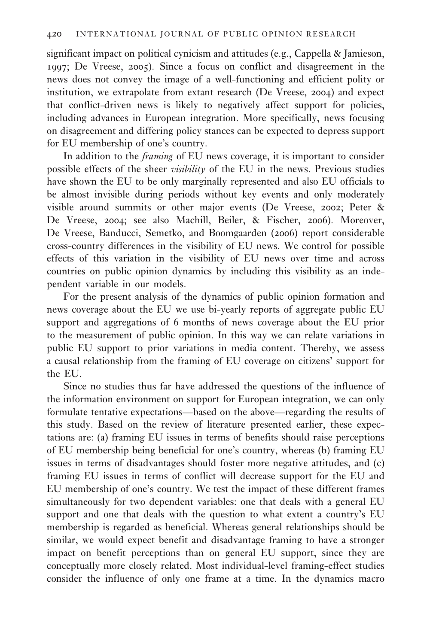significant impact on political cynicism and attitudes (e.g., Cappella & Jamieson, 1997; De Vreese, 2005). Since a focus on conflict and disagreement in the news does not convey the image of a well-functioning and efficient polity or institution, we extrapolate from extant research (De Vreese, 2004) and expect that conflict-driven news is likely to negatively affect support for policies, including advances in European integration. More specifically, news focusing on disagreement and differing policy stances can be expected to depress support for EU membership of one's country.

In addition to the framing of EU news coverage, it is important to consider possible effects of the sheer visibility of the EU in the news. Previous studies have shown the EU to be only marginally represented and also EU officials to be almost invisible during periods without key events and only moderately visible around summits or other major events (De Vreese, 2002; Peter & De Vreese, 2004; see also Machill, Beiler, & Fischer, 2006). Moreover, De Vreese, Banducci, Semetko, and Boomgaarden (2006) report considerable cross-country differences in the visibility of EU news. We control for possible effects of this variation in the visibility of EU news over time and across countries on public opinion dynamics by including this visibility as an independent variable in our models.

For the present analysis of the dynamics of public opinion formation and news coverage about the EU we use bi-yearly reports of aggregate public EU support and aggregations of 6 months of news coverage about the EU prior to the measurement of public opinion. In this way we can relate variations in public EU support to prior variations in media content. Thereby, we assess a causal relationship from the framing of EU coverage on citizens' support for the EU.

Since no studies thus far have addressed the questions of the influence of the information environment on support for European integration, we can only formulate tentative expectations—based on the above—regarding the results of this study. Based on the review of literature presented earlier, these expectations are: (a) framing EU issues in terms of benefits should raise perceptions of EU membership being beneficial for one's country, whereas (b) framing EU issues in terms of disadvantages should foster more negative attitudes, and (c) framing EU issues in terms of conflict will decrease support for the EU and EU membership of one's country. We test the impact of these different frames simultaneously for two dependent variables: one that deals with a general EU support and one that deals with the question to what extent a country's EU membership is regarded as beneficial. Whereas general relationships should be similar, we would expect benefit and disadvantage framing to have a stronger impact on benefit perceptions than on general EU support, since they are conceptually more closely related. Most individual-level framing-effect studies consider the influence of only one frame at a time. In the dynamics macro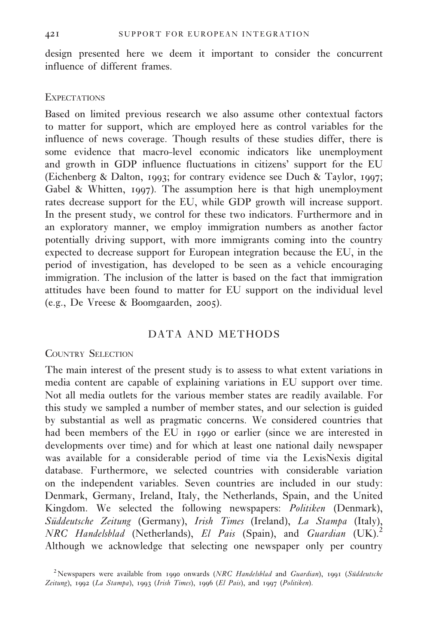design presented here we deem it important to consider the concurrent influence of different frames.

## **EXPECTATIONS**

Based on limited previous research we also assume other contextual factors to matter for support, which are employed here as control variables for the influence of news coverage. Though results of these studies differ, there is some evidence that macro-level economic indicators like unemployment and growth in GDP influence fluctuations in citizens' support for the EU (Eichenberg & Dalton, 1993; for contrary evidence see Duch & Taylor, 1997; Gabel & Whitten, 1997). The assumption here is that high unemployment rates decrease support for the EU, while GDP growth will increase support. In the present study, we control for these two indicators. Furthermore and in an exploratory manner, we employ immigration numbers as another factor potentially driving support, with more immigrants coming into the country expected to decrease support for European integration because the EU, in the period of investigation, has developed to be seen as a vehicle encouraging immigration. The inclusion of the latter is based on the fact that immigration attitudes have been found to matter for EU support on the individual level (e.g., De Vreese & Boomgaarden, 2005).

# DATA AND METHODS

#### COUNTRY SELECTION

The main interest of the present study is to assess to what extent variations in media content are capable of explaining variations in EU support over time. Not all media outlets for the various member states are readily available. For this study we sampled a number of member states, and our selection is guided by substantial as well as pragmatic concerns. We considered countries that had been members of the EU in 1990 or earlier (since we are interested in developments over time) and for which at least one national daily newspaper was available for a considerable period of time via the LexisNexis digital database. Furthermore, we selected countries with considerable variation on the independent variables. Seven countries are included in our study: Denmark, Germany, Ireland, Italy, the Netherlands, Spain, and the United Kingdom. We selected the following newspapers: Politiken (Denmark), Süddeutsche Zeitung (Germany), Irish Times (Ireland), La Stampa (Italy), NRC Handelsblad (Netherlands), El Pais (Spain), and Guardian (UK).<sup>2</sup> Although we acknowledge that selecting one newspaper only per country

<sup>&</sup>lt;sup>2</sup> Newspapers were available from 1990 onwards (NRC Handelsblad and Guardian), 1991 (Süddeutsche Zeitung), 1992 (La Stampa), 1993 (Irish Times), 1996 (El Pais), and 1997 (Politiken).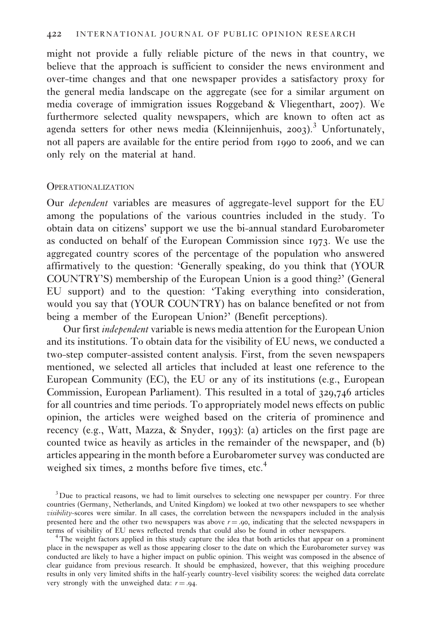might not provide a fully reliable picture of the news in that country, we believe that the approach is sufficient to consider the news environment and over-time changes and that one newspaper provides a satisfactory proxy for the general media landscape on the aggregate (see for a similar argument on media coverage of immigration issues Roggeband & Vliegenthart, 2007). We furthermore selected quality newspapers, which are known to often act as agenda setters for other news media (Kleinnijenhuis, 2003).<sup>3</sup> Unfortunately, not all papers are available for the entire period from 1990 to 2006, and we can only rely on the material at hand.

#### **OPERATIONALIZATION**

Our dependent variables are measures of aggregate-level support for the EU among the populations of the various countries included in the study. To obtain data on citizens' support we use the bi-annual standard Eurobarometer as conducted on behalf of the European Commission since 1973. We use the aggregated country scores of the percentage of the population who answered affirmatively to the question: 'Generally speaking, do you think that (YOUR COUNTRY'S) membership of the European Union is a good thing?' (General EU support) and to the question: 'Taking everything into consideration, would you say that (YOUR COUNTRY) has on balance benefited or not from being a member of the European Union?' (Benefit perceptions).

Our first independent variable is news media attention for the European Union and its institutions. To obtain data for the visibility of EU news, we conducted a two-step computer-assisted content analysis. First, from the seven newspapers mentioned, we selected all articles that included at least one reference to the European Community (EC), the EU or any of its institutions (e.g., European Commission, European Parliament). This resulted in a total of 329,746 articles for all countries and time periods. To appropriately model news effects on public opinion, the articles were weighed based on the criteria of prominence and recency (e.g., Watt, Mazza, & Snyder, 1993): (a) articles on the first page are counted twice as heavily as articles in the remainder of the newspaper, and (b) articles appearing in the month before a Eurobarometer survey was conducted are weighed six times,  $\alpha$  months before five times, etc.<sup>4</sup>

<sup>3</sup> Due to practical reasons, we had to limit ourselves to selecting one newspaper per country. For three countries (Germany, Netherlands, and United Kingdom) we looked at two other newspapers to see whether visibility-scores were similar. In all cases, the correlation between the newspapers included in the analysis presented here and the other two newspapers was above  $r = .90$ , indicating that the selected newspapers in terms of visibility of EU news reflected trends that could also be found in other newspapers.

<sup>4</sup> The weight factors applied in this study capture the idea that both articles that appear on a prominent place in the newspaper as well as those appearing closer to the date on which the Eurobarometer survey was conducted are likely to have a higher impact on public opinion. This weight was composed in the absence of clear guidance from previous research. It should be emphasized, however, that this weighing procedure results in only very limited shifts in the half-yearly country-level visibility scores: the weighed data correlate very strongly with the unweighed data:  $r = .94$ .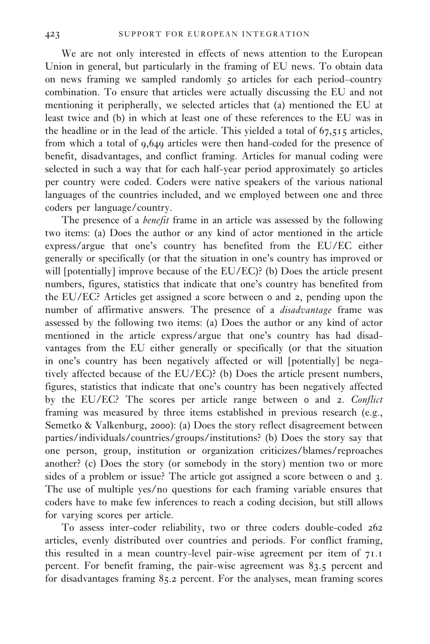We are not only interested in effects of news attention to the European Union in general, but particularly in the framing of EU news. To obtain data on news framing we sampled randomly 50 articles for each period–country combination. To ensure that articles were actually discussing the EU and not mentioning it peripherally, we selected articles that (a) mentioned the EU at least twice and (b) in which at least one of these references to the EU was in the headline or in the lead of the article. This yielded a total of 67,515 articles, from which a total of 9,649 articles were then hand-coded for the presence of benefit, disadvantages, and conflict framing. Articles for manual coding were selected in such a way that for each half-year period approximately 50 articles per country were coded. Coders were native speakers of the various national languages of the countries included, and we employed between one and three coders per language/country.

The presence of a benefit frame in an article was assessed by the following two items: (a) Does the author or any kind of actor mentioned in the article express/argue that one's country has benefited from the EU/EC either generally or specifically (or that the situation in one's country has improved or will [potentially] improve because of the EU/EC)? (b) Does the article present numbers, figures, statistics that indicate that one's country has benefited from the EU/EC? Articles get assigned a score between 0 and 2, pending upon the number of affirmative answers. The presence of a disadvantage frame was assessed by the following two items: (a) Does the author or any kind of actor mentioned in the article express/argue that one's country has had disadvantages from the EU either generally or specifically (or that the situation in one's country has been negatively affected or will [potentially] be negatively affected because of the EU/EC)? (b) Does the article present numbers, figures, statistics that indicate that one's country has been negatively affected by the EU/EC? The scores per article range between 0 and 2. Conflict framing was measured by three items established in previous research (e.g., Semetko & Valkenburg, 2000): (a) Does the story reflect disagreement between parties/individuals/countries/groups/institutions? (b) Does the story say that one person, group, institution or organization criticizes/blames/reproaches another? (c) Does the story (or somebody in the story) mention two or more sides of a problem or issue? The article got assigned a score between 0 and 3. The use of multiple yes/no questions for each framing variable ensures that coders have to make few inferences to reach a coding decision, but still allows for varying scores per article.

To assess inter-coder reliability, two or three coders double-coded 262 articles, evenly distributed over countries and periods. For conflict framing, this resulted in a mean country-level pair-wise agreement per item of 71.1 percent. For benefit framing, the pair-wise agreement was 83.5 percent and for disadvantages framing 85.2 percent. For the analyses, mean framing scores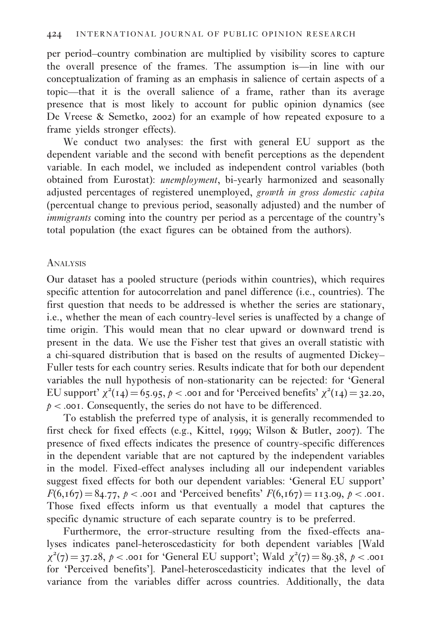per period–country combination are multiplied by visibility scores to capture the overall presence of the frames. The assumption is—in line with our conceptualization of framing as an emphasis in salience of certain aspects of a topic—that it is the overall salience of a frame, rather than its average presence that is most likely to account for public opinion dynamics (see De Vreese & Semetko, 2002) for an example of how repeated exposure to a frame yields stronger effects).

We conduct two analyses: the first with general EU support as the dependent variable and the second with benefit perceptions as the dependent variable. In each model, we included as independent control variables (both obtained from Eurostat): unemployment, bi-yearly harmonized and seasonally adjusted percentages of registered unemployed, growth in gross domestic capita (percentual change to previous period, seasonally adjusted) and the number of immigrants coming into the country per period as a percentage of the country's total population (the exact figures can be obtained from the authors).

## **ANALYSIS**

Our dataset has a pooled structure (periods within countries), which requires specific attention for autocorrelation and panel difference (i.e., countries). The first question that needs to be addressed is whether the series are stationary, i.e., whether the mean of each country-level series is unaffected by a change of time origin. This would mean that no clear upward or downward trend is present in the data. We use the Fisher test that gives an overall statistic with a chi-squared distribution that is based on the results of augmented Dickey– Fuller tests for each country series. Results indicate that for both our dependent variables the null hypothesis of non-stationarity can be rejected: for 'General EU support'  $\chi^2(14) = 65.95, p < .$ oo1 and for 'Perceived benefits'  $\chi^2(14) = 32.20$ ,  $p < .001$ . Consequently, the series do not have to be differenced.

To establish the preferred type of analysis, it is generally recommended to first check for fixed effects (e.g., Kittel, 1999; Wilson & Butler, 2007). The presence of fixed effects indicates the presence of country-specific differences in the dependent variable that are not captured by the independent variables in the model. Fixed-effect analyses including all our independent variables suggest fixed effects for both our dependent variables: 'General EU support'  $F(6,167) = 84.77$ ,  $p < .001$  and 'Perceived benefits'  $F(6,167) = 113.09$ ,  $p < .001$ . Those fixed effects inform us that eventually a model that captures the specific dynamic structure of each separate country is to be preferred.

Furthermore, the error-structure resulting from the fixed-effects analyses indicates panel-heteroscedasticity for both dependent variables [Wald  $\chi^2(7) = 37.28, p < .$ oo1 for 'General EU support'; Wald  $\chi^2(7) = 89.38, p < .$ oo1 for 'Perceived benefits']. Panel-heteroscedasticity indicates that the level of variance from the variables differ across countries. Additionally, the data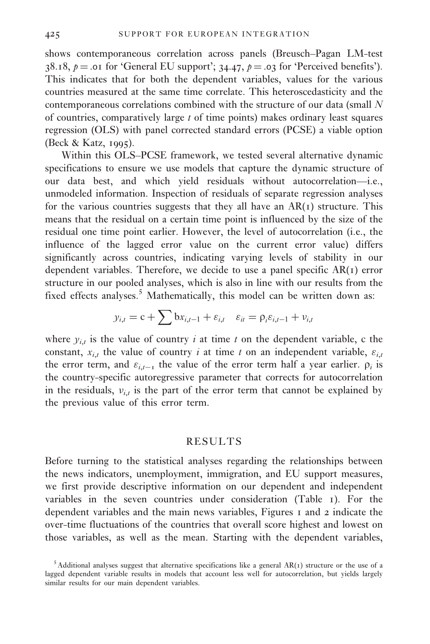shows contemporaneous correlation across panels (Breusch–Pagan LM-test  $38.18$ ,  $p = .01$  for 'General EU support';  $34.47$ ,  $p = .03$  for 'Perceived benefits'). This indicates that for both the dependent variables, values for the various countries measured at the same time correlate. This heteroscedasticity and the contemporaneous correlations combined with the structure of our data (small N of countries, comparatively large  $t$  of time points) makes ordinary least squares regression (OLS) with panel corrected standard errors (PCSE) a viable option (Beck & Katz, 1995).

Within this OLS–PCSE framework, we tested several alternative dynamic specifications to ensure we use models that capture the dynamic structure of our data best, and which yield residuals without autocorrelation—i.e., unmodeled information. Inspection of residuals of separate regression analyses for the various countries suggests that they all have an  $AR(1)$  structure. This means that the residual on a certain time point is influenced by the size of the residual one time point earlier. However, the level of autocorrelation (i.e., the influence of the lagged error value on the current error value) differs significantly across countries, indicating varying levels of stability in our dependent variables. Therefore, we decide to use a panel specific AR(1) error structure in our pooled analyses, which is also in line with our results from the fixed effects analyses.<sup>5</sup> Mathematically, this model can be written down as:

$$
y_{i,t} = c + \sum bx_{i,t-1} + \varepsilon_{i,t} \quad \varepsilon_{it} = \rho_i \varepsilon_{i,t-1} + \nu_{i,t}
$$

where  $y_{i,t}$  is the value of country i at time t on the dependent variable, c the constant,  $x_{i,t}$  the value of country i at time t on an independent variable,  $\varepsilon_{i,t}$ the error term, and  $\varepsilon_{i,t-1}$  the value of the error term half a year earlier.  $\rho_i$  is the country-specific autoregressive parameter that corrects for autocorrelation in the residuals,  $v_{i,t}$  is the part of the error term that cannot be explained by the previous value of this error term.

#### RESULTS

Before turning to the statistical analyses regarding the relationships between the news indicators, unemployment, immigration, and EU support measures, we first provide descriptive information on our dependent and independent variables in the seven countries under consideration (Table 1). For the dependent variables and the main news variables, Figures 1 and 2 indicate the over-time fluctuations of the countries that overall score highest and lowest on those variables, as well as the mean. Starting with the dependent variables,

 $<sup>5</sup>$  Additional analyses suggest that alternative specifications like a general AR(1) structure or the use of a</sup> lagged dependent variable results in models that account less well for autocorrelation, but yields largely similar results for our main dependent variables.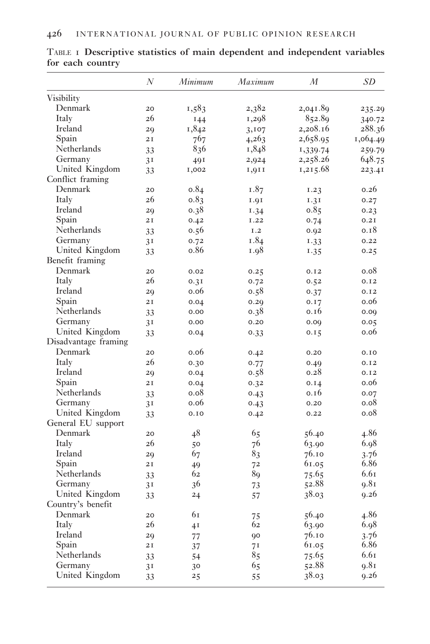|                      | N              | Minimum        | Maximum | $\overline{M}$ | SD       |
|----------------------|----------------|----------------|---------|----------------|----------|
| Visibility           |                |                |         |                |          |
| Denmark              | 20             | 1,583          | 2,382   | 2,041.89       | 235.29   |
| Italy                | 26             | 144            | 1,298   | 852.89         | 340.72   |
| Ireland              | 29             | 1,842          | 3,107   | 2,208.16       | 288.36   |
| Spain                | 2I             | 767            | 4,263   | 2,658.95       | 1,064.49 |
| Netherlands          | 33             | 836            | 1,848   | 1,339.74       | 259.79   |
| Germany              | 3 <sup>I</sup> | 491            | 2,924   | 2,258.26       | 648.75   |
| United Kingdom       | 33             | 1,002          | 1,911   | 1,215.68       | 223.41   |
| Conflict framing     |                |                |         |                |          |
| Denmark              | 20             | 0.84           | I.87    | 1.23           | 0.26     |
| Italy                | 26             | 0.83           | 1.91    | 1.31           | 0.27     |
| Ireland              | 29             | 0.38           | 1.34    | 0.85           | 0.23     |
| Spain                | 2I             | 0.42           | I.22    | 0.74           | 0.2I     |
| Netherlands          | 33             | 0.56           | I.2     | 0.92           | 0.18     |
| Germany              | 3 <sup>I</sup> | 0.72           | 1.84    | 1.33           | 0.22     |
| United Kingdom       | 33             | 0.86           | 1.98    | 1.35           | 0.25     |
| Benefit framing      |                |                |         |                |          |
| Denmark              | 20             | 0.02           | 0.25    | 0.12           | 0.08     |
| Italy                | 26             | 0.3I           | 0.72    | 0.52           | 0.12     |
| Ireland              | 29             | 0.06           | 0.58    | 0.37           | 0.12     |
| Spain                | 2I             | 0.04           | 0.20    | 0.17           | 0.06     |
| Netherlands          | 33             | 0.00           | 0.38    | 0.16           | 0.00     |
| Germany              | 3 <sup>I</sup> | 0.00           | 0.20    | 0.00           | 0.05     |
| United Kingdom       | 33             | 0.04           | 0.33    | 0.15           | 0.06     |
| Disadvantage framing |                |                |         |                |          |
| Denmark              | 20             | 0.06           | 0.42    | 0.20           | 0.10     |
| Italy                | 26             | 0.30           | 0.77    | 0.49           | 0.12     |
| Ireland              | 29             | 0.04           | 0.58    | 0.28           | 0.12     |
| Spain                | 2I             | 0.04           | 0.32    | 0.14           | 0.06     |
| Netherlands          | 33             | 0.08           | 0.43    | 0.16           | 0.07     |
| Germany              | 3 <sub>1</sub> | 0.06           | 0.43    | 0.20           | 0.08     |
| United Kingdom       | 33             | 0.10           | 0.42    | 0.22           | 0.08     |
| General EU support   |                |                |         |                |          |
| Denmark              | 20             | 48             | 65      | 56.40          | 4.86     |
| Italy                | 26             | 50             | 76      | 63.90          | 6.98     |
| Ireland              | 29             | 67             | 83      | 76.10          | 3.76     |
| Spain                | 2I             | 49             | 72      | 61.05          | 6.86     |
| Netherlands          | 33             | 62             | 89      | 75.65          | 6.61     |
| Germany              | 3 <sub>1</sub> | 36             | 73      | 52.88          | 0.81     |
| United Kingdom       | 33             | 24             | 57      | 38.03          | 0.26     |
| Country's benefit    |                |                |         |                |          |
| Denmark              | 20             | 61             | 75      | 56.40          | 4.86     |
| Italy                | 26             | 4 <sup>I</sup> | 62      | 63.90          | 6.98     |
| Ireland              | 29             | 77             | 90      | 76.10          | 3.76     |
| Spain                | 2I             | 37             | 71      | 61.05          | 6.86     |
| Netherlands          | 33             | 54             | 85      | 75.65          | 6.61     |
| Germany              | 3 <sub>I</sub> | 30             | 65      | 52.88          | 9.81     |
| United Kingdom       | 33             | 25             | 55      | 38.03          | 9.26     |

TABLE 1 Descriptive statistics of main dependent and independent variables for each country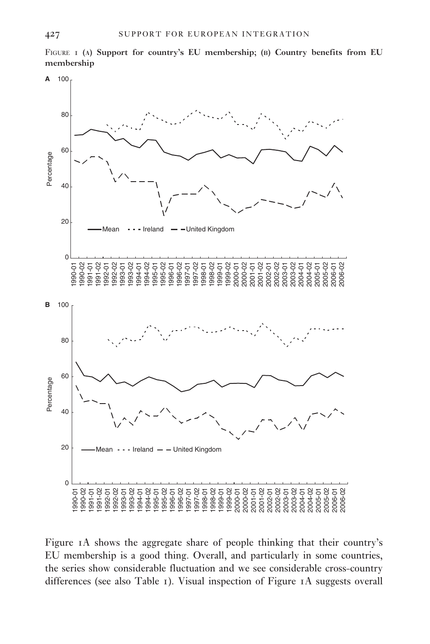FIGURE 1 (A) Support for country's EU membership; (B) Country benefits from EU membership



Figure 1A shows the aggregate share of people thinking that their country's EU membership is a good thing. Overall, and particularly in some countries, the series show considerable fluctuation and we see considerable cross-country differences (see also Table 1). Visual inspection of Figure 1A suggests overall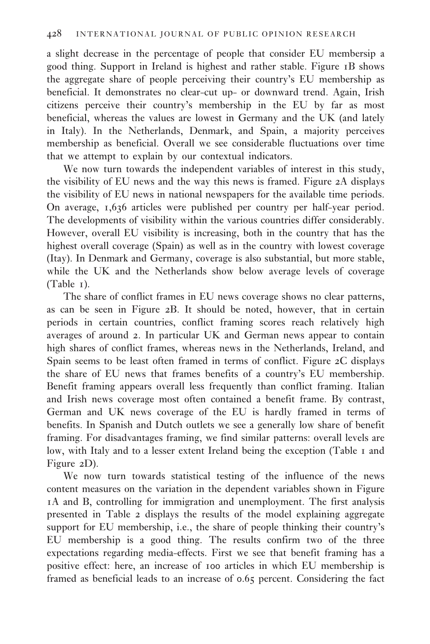a slight decrease in the percentage of people that consider EU membersip a good thing. Support in Ireland is highest and rather stable. Figure 1B shows the aggregate share of people perceiving their country's EU membership as beneficial. It demonstrates no clear-cut up- or downward trend. Again, Irish citizens perceive their country's membership in the EU by far as most beneficial, whereas the values are lowest in Germany and the UK (and lately in Italy). In the Netherlands, Denmark, and Spain, a majority perceives membership as beneficial. Overall we see considerable fluctuations over time that we attempt to explain by our contextual indicators.

We now turn towards the independent variables of interest in this study, the visibility of EU news and the way this news is framed. Figure 2A displays the visibility of EU news in national newspapers for the available time periods. On average, 1,636 articles were published per country per half-year period. The developments of visibility within the various countries differ considerably. However, overall EU visibility is increasing, both in the country that has the highest overall coverage (Spain) as well as in the country with lowest coverage (Itay). In Denmark and Germany, coverage is also substantial, but more stable, while the UK and the Netherlands show below average levels of coverage (Table 1).

The share of conflict frames in EU news coverage shows no clear patterns, as can be seen in Figure 2B. It should be noted, however, that in certain periods in certain countries, conflict framing scores reach relatively high averages of around 2. In particular UK and German news appear to contain high shares of conflict frames, whereas news in the Netherlands, Ireland, and Spain seems to be least often framed in terms of conflict. Figure 2C displays the share of EU news that frames benefits of a country's EU membership. Benefit framing appears overall less frequently than conflict framing. Italian and Irish news coverage most often contained a benefit frame. By contrast, German and UK news coverage of the EU is hardly framed in terms of benefits. In Spanish and Dutch outlets we see a generally low share of benefit framing. For disadvantages framing, we find similar patterns: overall levels are low, with Italy and to a lesser extent Ireland being the exception (Table 1 and Figure 2D).

We now turn towards statistical testing of the influence of the news content measures on the variation in the dependent variables shown in Figure 1A and B, controlling for immigration and unemployment. The first analysis presented in Table 2 displays the results of the model explaining aggregate support for EU membership, i.e., the share of people thinking their country's EU membership is a good thing. The results confirm two of the three expectations regarding media-effects. First we see that benefit framing has a positive effect: here, an increase of 100 articles in which EU membership is framed as beneficial leads to an increase of 0.65 percent. Considering the fact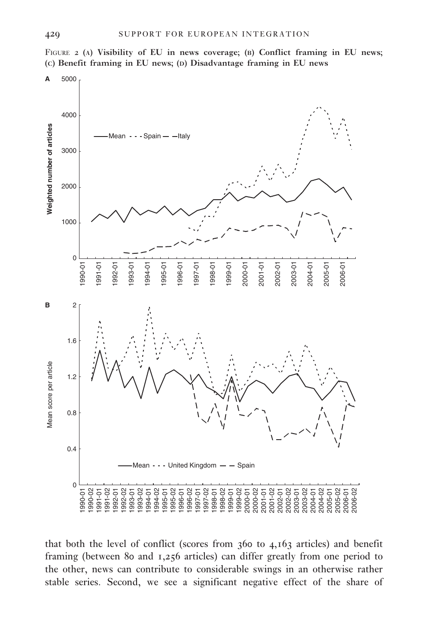FIGURE 2 (A) Visibility of EU in news coverage; (B) Conflict framing in EU news; (C) Benefit framing in EU news; (D) Disadvantage framing in EU news



that both the level of conflict (scores from 360 to 4,163 articles) and benefit framing (between 80 and 1,256 articles) can differ greatly from one period to the other, news can contribute to considerable swings in an otherwise rather stable series. Second, we see a significant negative effect of the share of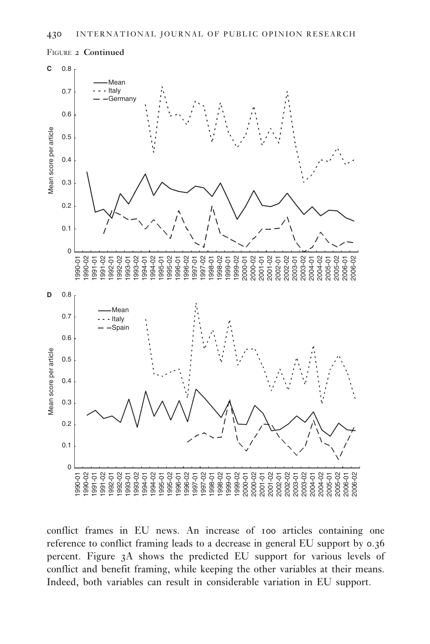





conflict frames in EU news. An increase of 100 articles containing one reference to conflict framing leads to a decrease in general EU support by 0.36 percent. Figure 3A shows the predicted EU support for various levels of conflict and benefit framing, while keeping the other variables at their means. Indeed, both variables can result in considerable variation in EU support.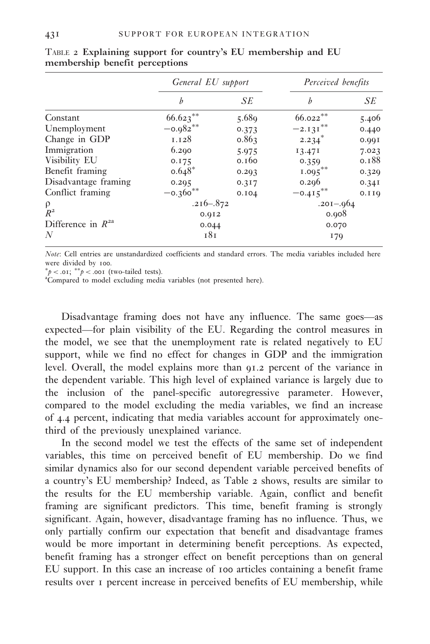|                        | General EU support |       | Perceived benefits   |       |
|------------------------|--------------------|-------|----------------------|-------|
|                        | b                  | SE    | b                    | SE    |
| Constant               | $66.623***$        | 5.689 | $66.022***$          | 5.406 |
| Unemployment           | $-0.982***$        | 0.373 | $-2.131***$          | 0.440 |
| Change in GDP          | 1.128              | 0.863 | $2.234$ <sup>*</sup> | 0.001 |
| Immigration            | 6.290              | 5.975 | 13.471               | 7.023 |
| Visibility EU          | 0.175              | 0.160 | 0.359                | 0.188 |
| Benefit framing        | $0.648*$           | 0.203 | $1.095***$           | 0.329 |
| Disadvantage framing   | 0.205              | 0.317 | 0.206                | 0.34I |
| Conflict framing       | $-0.360**$         | 0.104 | $-0.415$ **          | 0.110 |
| $\rho$                 | $.216 - .872$      |       | $.201 - .064$        |       |
| $R^2$                  | 0.012              |       | 0.908                |       |
| Difference in $R^{2a}$ | 0.044              |       | 0.070                |       |
| N                      | 181                |       | 179                  |       |

TABLE 2 Explaining support for country's EU membership and EU membership benefit perceptions

Note: Cell entries are unstandardized coefficients and standard errors. The media variables included here were divided by 100.

\* $p < .01$ ; \*\* $p < .001$  (two-tailed tests).

Compared to model excluding media variables (not presented here).

Disadvantage framing does not have any influence. The same goes—as expected—for plain visibility of the EU. Regarding the control measures in the model, we see that the unemployment rate is related negatively to EU support, while we find no effect for changes in GDP and the immigration level. Overall, the model explains more than 91.2 percent of the variance in the dependent variable. This high level of explained variance is largely due to the inclusion of the panel-specific autoregressive parameter. However, compared to the model excluding the media variables, we find an increase of 4.4 percent, indicating that media variables account for approximately onethird of the previously unexplained variance.

In the second model we test the effects of the same set of independent variables, this time on perceived benefit of EU membership. Do we find similar dynamics also for our second dependent variable perceived benefits of a country's EU membership? Indeed, as Table 2 shows, results are similar to the results for the EU membership variable. Again, conflict and benefit framing are significant predictors. This time, benefit framing is strongly significant. Again, however, disadvantage framing has no influence. Thus, we only partially confirm our expectation that benefit and disadvantage frames would be more important in determining benefit perceptions. As expected, benefit framing has a stronger effect on benefit perceptions than on general EU support. In this case an increase of 100 articles containing a benefit frame results over 1 percent increase in perceived benefits of EU membership, while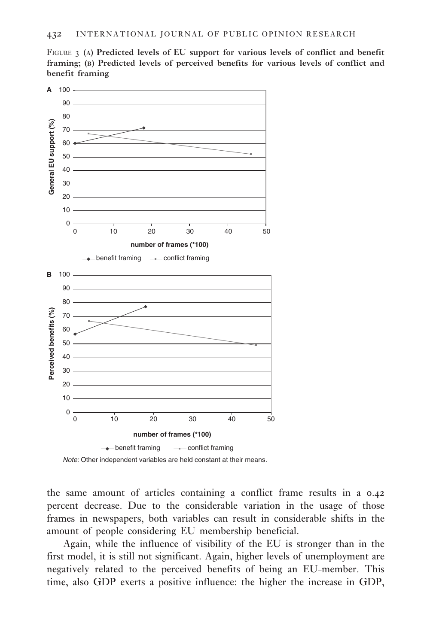FIGURE 3 (A) Predicted levels of EU support for various levels of conflict and benefit framing; (B) Predicted levels of perceived benefits for various levels of conflict and benefit framing



*Note:* Other independent variables are held constant at their means.

the same amount of articles containing a conflict frame results in a 0.42 percent decrease. Due to the considerable variation in the usage of those frames in newspapers, both variables can result in considerable shifts in the amount of people considering EU membership beneficial.

Again, while the influence of visibility of the EU is stronger than in the first model, it is still not significant. Again, higher levels of unemployment are negatively related to the perceived benefits of being an EU-member. This time, also GDP exerts a positive influence: the higher the increase in GDP,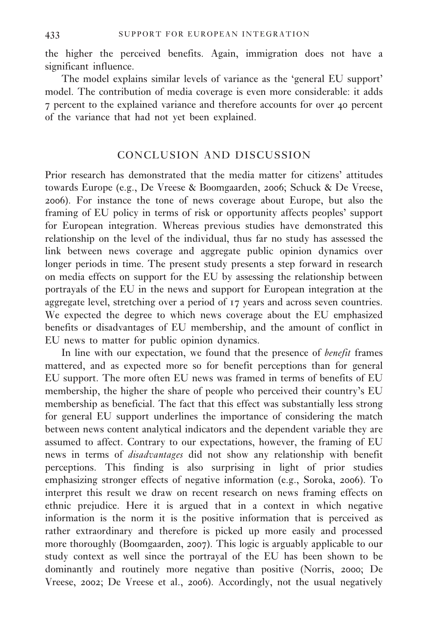the higher the perceived benefits. Again, immigration does not have a significant influence.

The model explains similar levels of variance as the 'general EU support' model. The contribution of media coverage is even more considerable: it adds 7 percent to the explained variance and therefore accounts for over 40 percent of the variance that had not yet been explained.

# CONCLUSION AND DISCUSSION

Prior research has demonstrated that the media matter for citizens' attitudes towards Europe (e.g., De Vreese & Boomgaarden, 2006; Schuck & De Vreese, 2006). For instance the tone of news coverage about Europe, but also the framing of EU policy in terms of risk or opportunity affects peoples' support for European integration. Whereas previous studies have demonstrated this relationship on the level of the individual, thus far no study has assessed the link between news coverage and aggregate public opinion dynamics over longer periods in time. The present study presents a step forward in research on media effects on support for the EU by assessing the relationship between portrayals of the EU in the news and support for European integration at the aggregate level, stretching over a period of 17 years and across seven countries. We expected the degree to which news coverage about the EU emphasized benefits or disadvantages of EU membership, and the amount of conflict in EU news to matter for public opinion dynamics.

In line with our expectation, we found that the presence of *benefit* frames mattered, and as expected more so for benefit perceptions than for general EU support. The more often EU news was framed in terms of benefits of EU membership, the higher the share of people who perceived their country's EU membership as beneficial. The fact that this effect was substantially less strong for general EU support underlines the importance of considering the match between news content analytical indicators and the dependent variable they are assumed to affect. Contrary to our expectations, however, the framing of EU news in terms of disadvantages did not show any relationship with benefit perceptions. This finding is also surprising in light of prior studies emphasizing stronger effects of negative information (e.g., Soroka, 2006). To interpret this result we draw on recent research on news framing effects on ethnic prejudice. Here it is argued that in a context in which negative information is the norm it is the positive information that is perceived as rather extraordinary and therefore is picked up more easily and processed more thoroughly (Boomgaarden, 2007). This logic is arguably applicable to our study context as well since the portrayal of the EU has been shown to be dominantly and routinely more negative than positive (Norris, 2000; De Vreese, 2002; De Vreese et al., 2006). Accordingly, not the usual negatively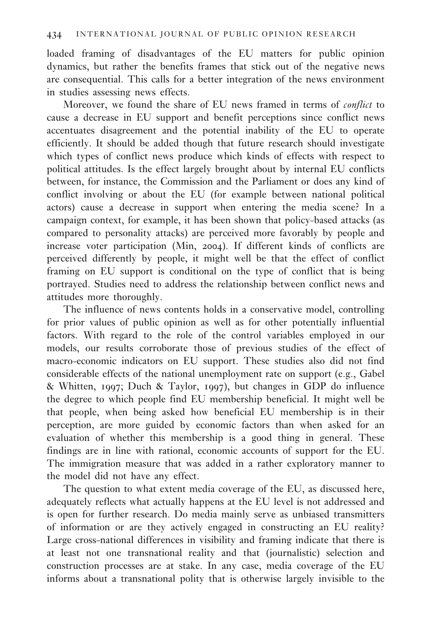loaded framing of disadvantages of the EU matters for public opinion dynamics, but rather the benefits frames that stick out of the negative news are consequential. This calls for a better integration of the news environment in studies assessing news effects.

Moreover, we found the share of EU news framed in terms of conflict to cause a decrease in EU support and benefit perceptions since conflict news accentuates disagreement and the potential inability of the EU to operate efficiently. It should be added though that future research should investigate which types of conflict news produce which kinds of effects with respect to political attitudes. Is the effect largely brought about by internal EU conflicts between, for instance, the Commission and the Parliament or does any kind of conflict involving or about the EU (for example between national political actors) cause a decrease in support when entering the media scene? In a campaign context, for example, it has been shown that policy-based attacks (as compared to personality attacks) are perceived more favorably by people and increase voter participation (Min, 2004). If different kinds of conflicts are perceived differently by people, it might well be that the effect of conflict framing on EU support is conditional on the type of conflict that is being portrayed. Studies need to address the relationship between conflict news and attitudes more thoroughly.

The influence of news contents holds in a conservative model, controlling for prior values of public opinion as well as for other potentially influential factors. With regard to the role of the control variables employed in our models, our results corroborate those of previous studies of the effect of macro-economic indicators on EU support. These studies also did not find considerable effects of the national unemployment rate on support (e.g., Gabel & Whitten, 1997; Duch & Taylor, 1997), but changes in GDP do influence the degree to which people find EU membership beneficial. It might well be that people, when being asked how beneficial EU membership is in their perception, are more guided by economic factors than when asked for an evaluation of whether this membership is a good thing in general. These findings are in line with rational, economic accounts of support for the EU. The immigration measure that was added in a rather exploratory manner to the model did not have any effect.

The question to what extent media coverage of the EU, as discussed here, adequately reflects what actually happens at the EU level is not addressed and is open for further research. Do media mainly serve as unbiased transmitters of information or are they actively engaged in constructing an EU reality? Large cross-national differences in visibility and framing indicate that there is at least not one transnational reality and that (journalistic) selection and construction processes are at stake. In any case, media coverage of the EU informs about a transnational polity that is otherwise largely invisible to the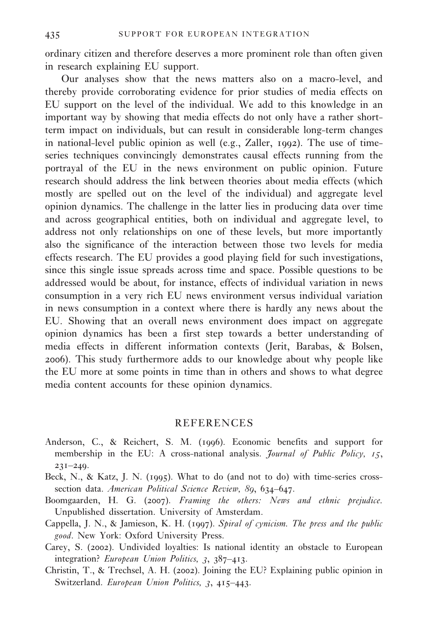ordinary citizen and therefore deserves a more prominent role than often given in research explaining EU support.

Our analyses show that the news matters also on a macro-level, and thereby provide corroborating evidence for prior studies of media effects on EU support on the level of the individual. We add to this knowledge in an important way by showing that media effects do not only have a rather shortterm impact on individuals, but can result in considerable long-term changes in national-level public opinion as well (e.g., Zaller, 1992). The use of timeseries techniques convincingly demonstrates causal effects running from the portrayal of the EU in the news environment on public opinion. Future research should address the link between theories about media effects (which mostly are spelled out on the level of the individual) and aggregate level opinion dynamics. The challenge in the latter lies in producing data over time and across geographical entities, both on individual and aggregate level, to address not only relationships on one of these levels, but more importantly also the significance of the interaction between those two levels for media effects research. The EU provides a good playing field for such investigations, since this single issue spreads across time and space. Possible questions to be addressed would be about, for instance, effects of individual variation in news consumption in a very rich EU news environment versus individual variation in news consumption in a context where there is hardly any news about the EU. Showing that an overall news environment does impact on aggregate opinion dynamics has been a first step towards a better understanding of media effects in different information contexts (Jerit, Barabas, & Bolsen, 2006). This study furthermore adds to our knowledge about why people like the EU more at some points in time than in others and shows to what degree media content accounts for these opinion dynamics.

## REFERENCES

- Anderson, C., & Reichert, S. M. (1996). Economic benefits and support for membership in the EU: A cross-national analysis. *Journal of Public Policy*,  $_{15}$ ,  $231 - 249.$
- Beck, N., & Katz, J. N. (1995). What to do (and not to do) with time-series crosssection data. American Political Science Review, 89, 634-647.
- Boomgaarden, H. G. (2007). Framing the others: News and ethnic prejudice. Unpublished dissertation. University of Amsterdam.
- Cappella, J. N., & Jamieson, K. H. (1997). Spiral of cynicism. The press and the public good. New York: Oxford University Press.
- Carey, S. (2002). Undivided loyalties: Is national identity an obstacle to European integration? European Union Politics, 3, 387-413.
- Christin, T., & Trechsel, A. H. (2002). Joining the EU? Explaining public opinion in Switzerland. European Union Politics, 3, 415-443.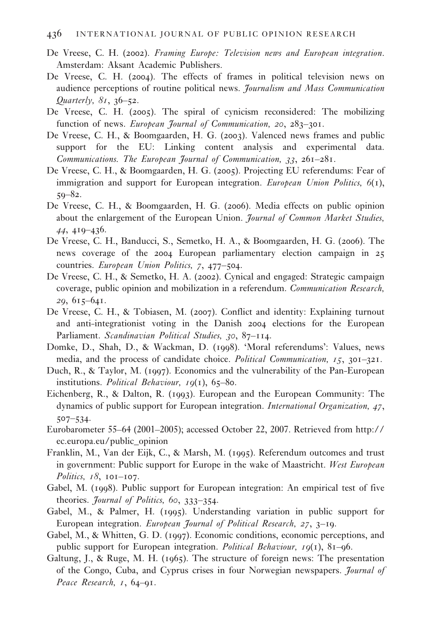- De Vreese, C. H. (2002). Framing Europe: Television news and European integration. Amsterdam: Aksant Academic Publishers.
- De Vreese, C. H. (2004). The effects of frames in political television news on audience perceptions of routine political news. Journalism and Mass Communication  $Quarterly, 81, 36–52.$
- De Vreese, C. H. (2005). The spiral of cynicism reconsidered: The mobilizing function of news. European Journal of Communication, 20, 283-301.
- De Vreese, C. H., & Boomgaarden, H. G. (2003). Valenced news frames and public support for the EU: Linking content analysis and experimental data. Communications. The European Journal of Communication, 33, 261–281.
- De Vreese, C. H., & Boomgaarden, H. G. (2005). Projecting EU referendums: Fear of immigration and support for European integration. *European Union Politics*,  $6(1)$ , 59–82.
- De Vreese, C. H., & Boomgaarden, H. G. (2006). Media effects on public opinion about the enlargement of the European Union. Journal of Common Market Studies, 44, 419–436.
- De Vreese, C. H., Banducci, S., Semetko, H. A., & Boomgaarden, H. G. (2006). The news coverage of the 2004 European parliamentary election campaign in 25 countries. European Union Politics, 7, 477–504.
- De Vreese, C. H., & Semetko, H. A. (2002). Cynical and engaged: Strategic campaign coverage, public opinion and mobilization in a referendum. Communication Research, 29, 615–641.
- De Vreese, C. H., & Tobiasen, M. (2007). Conflict and identity: Explaining turnout and anti-integrationist voting in the Danish 2004 elections for the European Parliament. Scandinavian Political Studies, 30, 87-114.
- Domke, D., Shah, D., & Wackman, D. (1998). 'Moral referendums': Values, news media, and the process of candidate choice. Political Communication, 15, 301–321.
- Duch, R., & Taylor, M. (1997). Economics and the vulnerability of the Pan-European institutions. *Political Behaviour*,  $19(1)$ ,  $65-80$ .
- Eichenberg, R., & Dalton, R. (1993). European and the European Community: The dynamics of public support for European integration. International Organization, 47, 507–534.
- Eurobarometer 55–64 (2001–2005); accessed October 22, 2007. Retrieved from<http://> ec.europa.eu/public\_opinion
- Franklin, M., Van der Eijk, C., & Marsh, M. (1995). Referendum outcomes and trust in government: Public support for Europe in the wake of Maastricht. West European Politics,  $18$ ,  $101-107$ .
- Gabel, M. (1998). Public support for European integration: An empirical test of five theories. Journal of Politics, 60, 333-354.
- Gabel, M., & Palmer, H. (1995). Understanding variation in public support for European integration. European Journal of Political Research, 27, 3–19.
- Gabel, M., & Whitten, G. D. (1997). Economic conditions, economic perceptions, and public support for European integration. *Political Behaviour*, 19(1), 81–96.
- Galtung, J., & Ruge, M. H. (1965). The structure of foreign news: The presentation of the Congo, Cuba, and Cyprus crises in four Norwegian newspapers. Journal of Peace Research, 1, 64-91.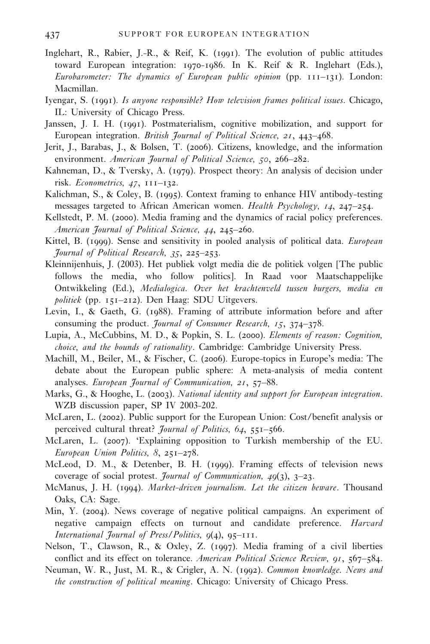- Inglehart, R., Rabier, J.-R., & Reif, K. (1991). The evolution of public attitudes toward European integration: 1970-1986. In K. Reif & R. Inglehart (Eds.), Eurobarometer: The dynamics of European public opinion (pp. 111–131). London: Macmillan.
- Iyengar, S. (1991). Is anyone responsible? How television frames political issues. Chicago, IL: University of Chicago Press.
- Janssen, J. I. H. (1991). Postmaterialism, cognitive mobilization, and support for European integration. British Journal of Political Science, 21, 443-468.
- Jerit, J., Barabas, J., & Bolsen, T. (2006). Citizens, knowledge, and the information environment. American Journal of Political Science, 50, 266–282.
- Kahneman, D., & Tversky, A. (1979). Prospect theory: An analysis of decision under risk. Econometrics, 47, 111–132.
- Kalichman, S., & Coley, B. (1995). Context framing to enhance HIV antibody-testing messages targeted to African American women. Health Psychology, 14, 247–254.
- Kellstedt, P. M. (2000). Media framing and the dynamics of racial policy preferences. American Journal of Political Science, 44, 245–260.
- Kittel, B. (1999). Sense and sensitivity in pooled analysis of political data. European Journal of Political Research, 35, 225–253.
- Kleinnijenhuis, J. (2003). Het publiek volgt media die de politiek volgen [The public follows the media, who follow politics]. In Raad voor Maatschappelijke Ontwikkeling (Ed.), Medialogica. Over het krachtenveld tussen burgers, media en politiek (pp. 151–212). Den Haag: SDU Uitgevers.
- Levin, I., & Gaeth, G. (1988). Framing of attribute information before and after consuming the product. Journal of Consumer Research, 15, 374-378.
- Lupia, A., McCubbins, M. D., & Popkin, S. L. (2000). Elements of reason: Cognition, choice, and the bounds of rationality. Cambridge: Cambridge University Press.
- Machill, M., Beiler, M., & Fischer, C. (2006). Europe-topics in Europe's media: The debate about the European public sphere: A meta-analysis of media content analyses. European Journal of Communication, 21, 57–88.
- Marks, G., & Hooghe, L. (2003). National identity and support for European integration. WZB discussion paper, SP IV 2003-202.
- McLaren, L. (2002). Public support for the European Union: Cost/benefit analysis or perceived cultural threat? *Journal of Politics*, 64, 551-566.
- McLaren, L. (2007). 'Explaining opposition to Turkish membership of the EU. European Union Politics, 8, 251–278.
- McLeod, D. M., & Detenber, B. H. (1999). Framing effects of television news coverage of social protest. Journal of Communication, 49(3), 3–23.
- McManus, J. H. (1994). Market-driven journalism. Let the citizen beware. Thousand Oaks, CA: Sage.
- Min, Y. (2004). News coverage of negative political campaigns. An experiment of negative campaign effects on turnout and candidate preference. Harvard International Journal of Press/Politics, 9(4), 95–111.
- Nelson, T., Clawson, R., & Oxley, Z. (1997). Media framing of a civil liberties conflict and its effect on tolerance. American Political Science Review, 91, 567-584.
- Neuman, W. R., Just, M. R., & Crigler, A. N. (1992). Common knowledge. News and the construction of political meaning. Chicago: University of Chicago Press.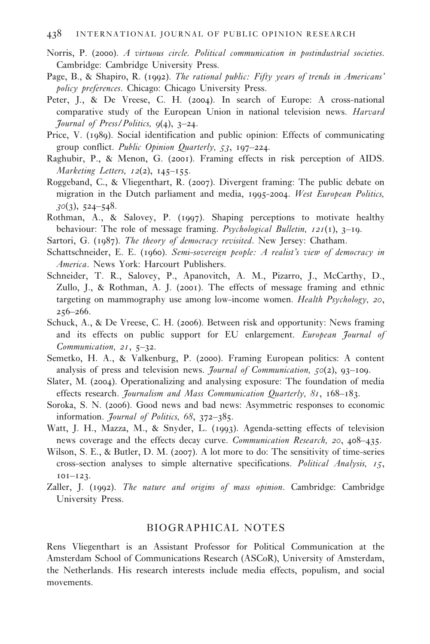- Norris, P. (2000). A virtuous circle. Political communication in postindustrial societies. Cambridge: Cambridge University Press.
- Page, B., & Shapiro, R. (1992). The rational public: Fifty years of trends in Americans' policy preferences. Chicago: Chicago University Press.
- Peter, J., & De Vreese, C. H. (2004). In search of Europe: A cross-national comparative study of the European Union in national television news. Harvard Journal of Press/Politics, 9(4), 3–24.
- Price, V. (1989). Social identification and public opinion: Effects of communicating group conflict. Public Opinion Quarterly, 53, 197–224.
- Raghubir, P., & Menon, G. (2001). Framing effects in risk perception of AIDS. Marketing Letters,  $12(2)$ ,  $145-155$ .
- Roggeband, C., & Vliegenthart, R. (2007). Divergent framing: The public debate on migration in the Dutch parliament and media, 1995-2004. West European Politics,  $30(3)$ ,  $524 - 548$ .
- Rothman, A., & Salovey, P. (1997). Shaping perceptions to motivate healthy behaviour: The role of message framing. *Psychological Bulletin*,  $12I(1)$ ,  $3-Iq$ .
- Sartori, G. (1987). The theory of democracy revisited. New Jersey: Chatham.
- Schattschneider, E. E. (1960). Semi-sovereign people: A realist's view of democracy in America. News York: Harcourt Publishers.
- Schneider, T. R., Salovey, P., Apanovitch, A. M., Pizarro, J., McCarthy, D., Zullo, J., & Rothman, A. J. (2001). The effects of message framing and ethnic targeting on mammography use among low-income women. Health Psychology, 20, 256–266.
- Schuck, A., & De Vreese, C. H. (2006). Between risk and opportunity: News framing and its effects on public support for EU enlargement. European Journal of Communication, 21, 5–32.
- Semetko, H. A., & Valkenburg, P. (2000). Framing European politics: A content analysis of press and television news. *Journal of Communication*,  $50(2)$ ,  $93-109$ .
- Slater, M. (2004). Operationalizing and analysing exposure: The foundation of media effects research. Journalism and Mass Communication Quarterly, 81, 168–183.
- Soroka, S. N. (2006). Good news and bad news: Asymmetric responses to economic information. Journal of Politics, 68, 372–385.
- Watt, J. H., Mazza, M., & Snyder, L. (1993). Agenda-setting effects of television news coverage and the effects decay curve. Communication Research, 20, 408–435.
- Wilson, S. E., & Butler, D. M. (2007). A lot more to do: The sensitivity of time-series cross-section analyses to simple alternative specifications. Political Analysis, 15, 101–123.
- Zaller, J. (1992). The nature and origins of mass opinion. Cambridge: Cambridge University Press.

# BIOGRAPHICAL NOTES

Rens Vliegenthart is an Assistant Professor for Political Communication at the Amsterdam School of Communications Research (ASCoR), University of Amsterdam, the Netherlands. His research interests include media effects, populism, and social movements.